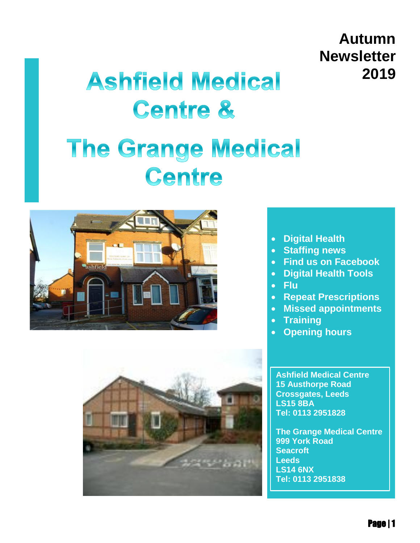## **Autumn Newsletter 2019**

# **Ashfield Medical Centre &**

# **The Grange Medical** Centre





#### **Digital Health**

- **Staffing news**
- **Find us on Facebook**
- **Digital Health Tools**
- **Flu**
- **Repeat Prescriptions**
- **Missed appointments**
- **Training**
- **Opening hours**

**[Ashfield Medical Centre](http://maps.google.com/?saddr=Current%20Location&daddr=%20Ashfield%20Medical%20Centre15%20Austhorpe%20RoadCrossgates,%20LeedsLS15%208BA)  [15 Austhorpe Road](http://maps.google.com/?saddr=Current%20Location&daddr=%20Ashfield%20Medical%20Centre15%20Austhorpe%20RoadCrossgates,%20LeedsLS15%208BA)  [Crossgates, Leeds](http://maps.google.com/?saddr=Current%20Location&daddr=%20Ashfield%20Medical%20Centre15%20Austhorpe%20RoadCrossgates,%20LeedsLS15%208BA)  [LS15 8BA](http://maps.google.com/?saddr=Current%20Location&daddr=%20Ashfield%20Medical%20Centre15%20Austhorpe%20RoadCrossgates,%20LeedsLS15%208BA) Tel: 0113 2951828**

**[The Grange Medical Centre](http://maps.google.com/?saddr=Current%20Location&daddr=%20The%20Grange%20Medical%20Centre999%20York%20RoadSeacroftLeedsLS14%206NX)  [999 York Road](http://maps.google.com/?saddr=Current%20Location&daddr=%20The%20Grange%20Medical%20Centre999%20York%20RoadSeacroftLeedsLS14%206NX)  [Seacroft](http://maps.google.com/?saddr=Current%20Location&daddr=%20The%20Grange%20Medical%20Centre999%20York%20RoadSeacroftLeedsLS14%206NX)  [Leeds](http://maps.google.com/?saddr=Current%20Location&daddr=%20The%20Grange%20Medical%20Centre999%20York%20RoadSeacroftLeedsLS14%206NX)  [LS14 6NX](http://maps.google.com/?saddr=Current%20Location&daddr=%20The%20Grange%20Medical%20Centre999%20York%20RoadSeacroftLeedsLS14%206NX) Tel: 0113 2951838**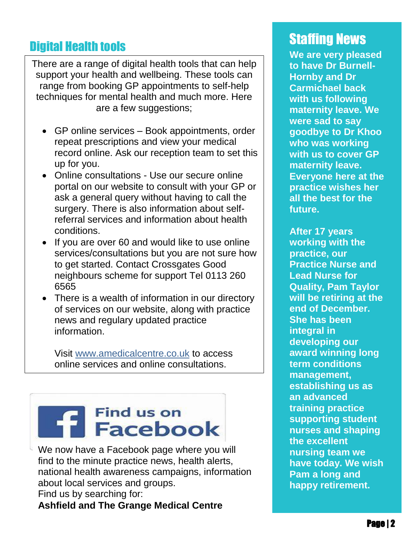# **Digital Health tools Staffing News**

. support your health and wellbeing. These tools can There are a range of digital health tools that can help range from booking GP appointments to self-help techniques for mental health and much more. Here are a few suggestions;

- GP online services Book appointments, order repeat prescriptions and view your medical record online. Ask our reception team to set this up for you.
- Online consultations Use our secure online portal on our website to consult with your GP or ask a general query without having to call the surgery. There is also information about selfreferral services and information about health conditions.
- If you are over 60 and would like to use online services/consultations but you are not sure how to get started. Contact Crossgates Good neighbours scheme for support Tel 0113 260 6565
- There is a wealth of information in our directory of services on our website, along with practice news and regulary updated practice information.

Visit [www.amedicalcentre.co.uk](http://www.amedicalcentre.co.uk/) to access online services and online consultations.

# Find us on<br>**T** Facebook

We now have a Facebook page where you will find to the minute practice news, health alerts, national health awareness campaigns, information about local services and groups. Find us by searching for: **Ashfield and The Grange Medical Centre**

**We are very pleased to have Dr Burnell-Hornby and Dr Carmichael back with us following maternity leave. We were sad to say goodbye to Dr Khoo who was working with us to cover GP maternity leave. Everyone here at the practice wishes her all the best for the future.**

**After 17 years working with the practice, our Practice Nurse and Lead Nurse for Quality, Pam Taylor will be retiring at the end of December. She has been integral in developing our award winning long term conditions management, establishing us as an advanced training practice supporting student nurses and shaping the excellent nursing team we have today. We wish Pam a long and happy retirement.**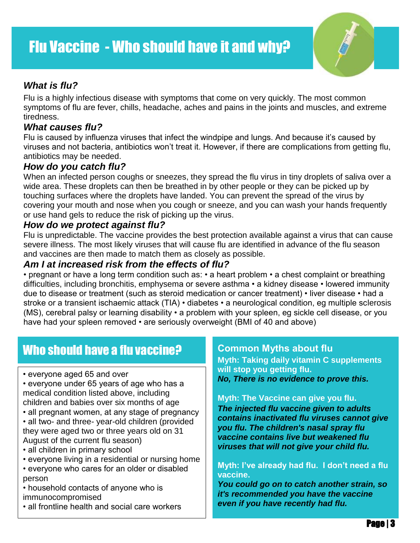

#### *What is flu?*

 Flu is a highly infectious disease with symptoms that come on very quickly. The most common symptoms of flu are fever, chills, headache, aches and pains in the joints and muscles, and extreme tiredness.

#### *What causes flu?*

Flu is caused by influenza viruses that infect the windpipe and lungs. And because it's caused by viruses and not bacteria, antibiotics won't treat it. However, if there are complications from getting flu, antibiotics may be needed.

#### *How do you catch flu?*

When an infected person coughs or sneezes, they spread the flu virus in tiny droplets of saliva over a wide area. These droplets can then be breathed in by other people or they can be picked up by touching surfaces where the droplets have landed. You can prevent the spread of the virus by covering your mouth and nose when you cough or sneeze, and you can wash your hands frequently or use hand gels to reduce the risk of picking up the virus.

#### *How do we protect against flu?*

Flu is unpredictable. The vaccine provides the best protection available against a virus that can cause severe illness. The most likely viruses that will cause flu are identified in advance of the flu season and vaccines are then made to match them as closely as possible.

#### *Am I at increased risk from the effects of flu?*

• pregnant or have a long term condition such as: • a heart problem • a chest complaint or breathing difficulties, including bronchitis, emphysema or severe asthma • a kidney disease • lowered immunity due to disease or treatment (such as steroid medication or cancer treatment) • liver disease • had a stroke or a transient ischaemic attack (TIA) • diabetes • a neurological condition, eg multiple sclerosis (MS), cerebral palsy or learning disability • a problem with your spleen, eg sickle cell disease, or you have had your spleen removed • are seriously overweight (BMI of 40 and above)

### Who should have a flu vaccine?

- everyone aged 65 and over
- everyone under 65 years of age who has a medical condition listed above, including children and babies over six months of age
- all pregnant women, at any stage of pregnancy
- all two- and three- year-old children (provided they were aged two or three years old on 31 August of the current flu season)
- all children in primary school
- everyone living in a residential or nursing home
- everyone who cares for an older or disabled person
- household contacts of anyone who is immunocompromised
- all frontline health and social care workers

#### **Common Myths about flu**

**Myth: Taking daily vitamin C supplements will stop you getting flu.**

*No, There is no evidence to prove this.*

#### **Myth: The Vaccine can give you flu.**

*The injected flu vaccine given to adults contains inactivated flu viruses cannot give you flu. The children's nasal spray flu vaccine contains live but weakened flu viruses that will not give your child flu.*

#### **Myth: I've already had flu. I don't need a flu vaccine.**

*You could go on to catch another strain, so it's recommended you have the vaccine even if you have recently had flu.*